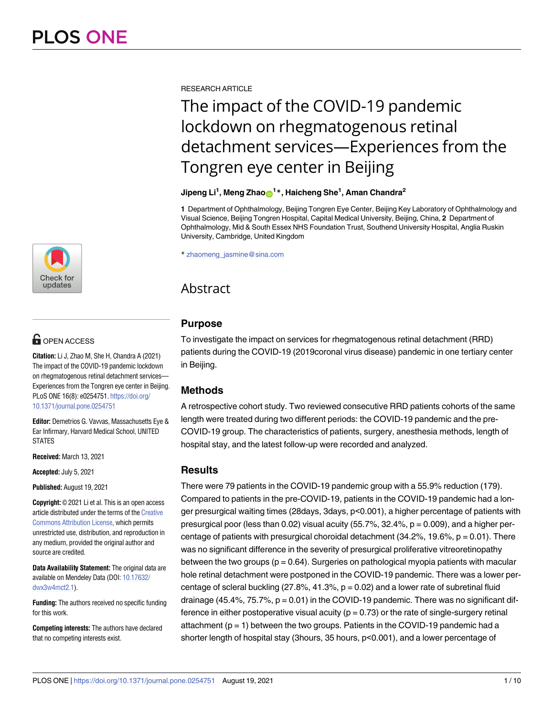

# **OPEN ACCESS**

**Citation:** Li J, Zhao M, She H, Chandra A (2021) The impact of the COVID-19 pandemic lockdown on rhegmatogenous retinal detachment services— Experiences from the Tongren eye center in Beijing. PLoS ONE 16(8): e0254751. [https://doi.org/](https://doi.org/10.1371/journal.pone.0254751) [10.1371/journal.pone.0254751](https://doi.org/10.1371/journal.pone.0254751)

**Editor:** Demetrios G. Vavvas, Massachusetts Eye & Ear Infirmary, Harvard Medical School, UNITED STATES

**Received:** March 13, 2021

**Accepted:** July 5, 2021

**Published:** August 19, 2021

**Copyright:** © 2021 Li et al. This is an open access article distributed under the terms of the [Creative](http://creativecommons.org/licenses/by/4.0/) [Commons](http://creativecommons.org/licenses/by/4.0/) Attribution License, which permits unrestricted use, distribution, and reproduction in any medium, provided the original author and source are credited.

**Data Availability Statement:** The original data are available on Mendeley Data (DOI: [10.17632/](https://doi.org/10.17632/dwx3w4mct2.1) [dwx3w4mct2.1\)](https://doi.org/10.17632/dwx3w4mct2.1).

**Funding:** The authors received no specific funding for this work.

**Competing interests:** The authors have declared that no competing interests exist.

RESEARCH ARTICLE

# The impact of the COVID-19 pandemic lockdown on rhegmatogenous retinal detachment services—Experiences from the Tongren eye center in Beijing

# $\mathsf{Jipeng}\ \mathsf{Li}^1$ ,  $\mathsf{Mean}\ \mathsf{g}\ \mathsf{Zhao}\ \hbox{\rlap{$\mathsf{O}$}}^{1\,*}$ ,  $\mathsf{Haicheng}\ \mathsf{She}^1$ ,  $\mathsf{Aman}\ \mathsf{Chandra}^2$

**1** Department of Ophthalmology, Beijing Tongren Eye Center, Beijing Key Laboratory of Ophthalmology and Visual Science, Beijing Tongren Hospital, Capital Medical University, Beijing, China, **2** Department of Ophthalmology, Mid & South Essex NHS Foundation Trust, Southend University Hospital, Anglia Ruskin University, Cambridge, United Kingdom

\* zhaomeng\_jasmine@sina.com

# Abstract

# **Purpose**

To investigate the impact on services for rhegmatogenous retinal detachment (RRD) patients during the COVID-19 (2019coronal virus disease) pandemic in one tertiary center in Beijing.

# **Methods**

A retrospective cohort study. Two reviewed consecutive RRD patients cohorts of the same length were treated during two different periods: the COVID-19 pandemic and the pre-COVID-19 group. The characteristics of patients, surgery, anesthesia methods, length of hospital stay, and the latest follow-up were recorded and analyzed.

# **Results**

There were 79 patients in the COVID-19 pandemic group with a 55.9% reduction (179). Compared to patients in the pre-COVID-19, patients in the COVID-19 pandemic had a longer presurgical waiting times (28days, 3days, p<0.001), a higher percentage of patients with presurgical poor (less than 0.02) visual acuity (55.7%, 32.4%,  $p = 0.009$ ), and a higher percentage of patients with presurgical choroidal detachment  $(34.2\%, 19.6\%, p = 0.01)$ . There was no significant difference in the severity of presurgical proliferative vitreoretinopathy between the two groups  $(p = 0.64)$ . Surgeries on pathological myopia patients with macular hole retinal detachment were postponed in the COVID-19 pandemic. There was a lower percentage of scleral buckling  $(27.8\%, 41.3\%, p = 0.02)$  and a lower rate of subretinal fluid drainage (45.4%, 75.7%,  $p = 0.01$ ) in the COVID-19 pandemic. There was no significant difference in either postoperative visual acuity ( $p = 0.73$ ) or the rate of single-surgery retinal attachment  $(p = 1)$  between the two groups. Patients in the COVID-19 pandemic had a shorter length of hospital stay (3hours, 35 hours, p<0.001), and a lower percentage of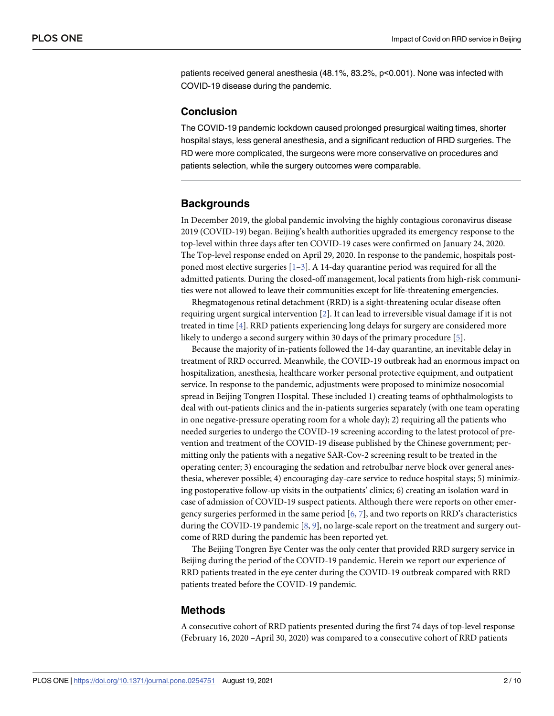<span id="page-1-0"></span>patients received general anesthesia (48.1%, 83.2%, p<0.001). None was infected with COVID-19 disease during the pandemic.

#### **Conclusion**

The COVID-19 pandemic lockdown caused prolonged presurgical waiting times, shorter hospital stays, less general anesthesia, and a significant reduction of RRD surgeries. The RD were more complicated, the surgeons were more conservative on procedures and patients selection, while the surgery outcomes were comparable.

# **Backgrounds**

In December 2019, the global pandemic involving the highly contagious coronavirus disease 2019 (COVID-19) began. Beijing's health authorities upgraded its emergency response to the top-level within three days after ten COVID-19 cases were confirmed on January 24, 2020. The Top-level response ended on April 29, 2020. In response to the pandemic, hospitals postponed most elective surgeries  $[1-3]$  $[1-3]$  $[1-3]$  $[1-3]$  $[1-3]$ . A 14-day quarantine period was required for all the admitted patients. During the closed-off management, local patients from high-risk communities were not allowed to leave their communities except for life-threatening emergencies.

Rhegmatogenous retinal detachment (RRD) is a sight-threatening ocular disease often requiring urgent surgical intervention [[2](#page-7-0)]. It can lead to irreversible visual damage if it is not treated in time [\[4\]](#page-7-0). RRD patients experiencing long delays for surgery are considered more likely to undergo a second surgery within 30 days of the primary procedure [\[5\]](#page-7-0).

Because the majority of in-patients followed the 14-day quarantine, an inevitable delay in treatment of RRD occurred. Meanwhile, the COVID-19 outbreak had an enormous impact on hospitalization, anesthesia, healthcare worker personal protective equipment, and outpatient service. In response to the pandemic, adjustments were proposed to minimize nosocomial spread in Beijing Tongren Hospital. These included 1) creating teams of ophthalmologists to deal with out-patients clinics and the in-patients surgeries separately (with one team operating in one negative-pressure operating room for a whole day); 2) requiring all the patients who needed surgeries to undergo the COVID-19 screening according to the latest protocol of prevention and treatment of the COVID-19 disease published by the Chinese government; permitting only the patients with a negative SAR-Cov-2 screening result to be treated in the operating center; 3) encouraging the sedation and retrobulbar nerve block over general anesthesia, wherever possible; 4) encouraging day-care service to reduce hospital stays; 5) minimizing postoperative follow-up visits in the outpatients' clinics; 6) creating an isolation ward in case of admission of COVID-19 suspect patients. Although there were reports on other emergency surgeries performed in the same period  $[6, 7]$  $[6, 7]$  $[6, 7]$  $[6, 7]$ , and two reports on RRD's characteristics during the COVID-19 pandemic [[8,](#page-7-0) [9\]](#page-7-0), no large-scale report on the treatment and surgery outcome of RRD during the pandemic has been reported yet.

The Beijing Tongren Eye Center was the only center that provided RRD surgery service in Beijing during the period of the COVID-19 pandemic. Herein we report our experience of RRD patients treated in the eye center during the COVID-19 outbreak compared with RRD patients treated before the COVID-19 pandemic.

#### **Methods**

A consecutive cohort of RRD patients presented during the first 74 days of top-level response (February 16, 2020 –April 30, 2020) was compared to a consecutive cohort of RRD patients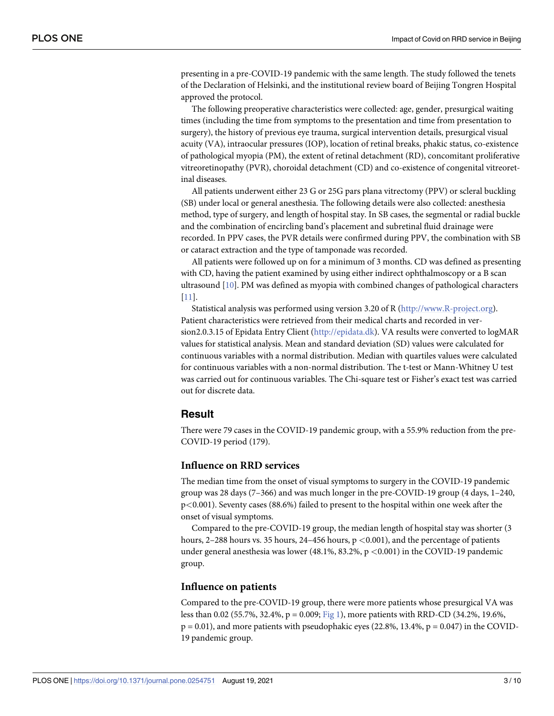<span id="page-2-0"></span>presenting in a pre-COVID-19 pandemic with the same length. The study followed the tenets of the Declaration of Helsinki, and the institutional review board of Beijing Tongren Hospital approved the protocol.

The following preoperative characteristics were collected: age, gender, presurgical waiting times (including the time from symptoms to the presentation and time from presentation to surgery), the history of previous eye trauma, surgical intervention details, presurgical visual acuity (VA), intraocular pressures (IOP), location of retinal breaks, phakic status, co-existence of pathological myopia (PM), the extent of retinal detachment (RD), concomitant proliferative vitreoretinopathy (PVR), choroidal detachment (CD) and co-existence of congenital vitreoretinal diseases.

All patients underwent either 23 G or 25G pars plana vitrectomy (PPV) or scleral buckling (SB) under local or general anesthesia. The following details were also collected: anesthesia method, type of surgery, and length of hospital stay. In SB cases, the segmental or radial buckle and the combination of encircling band's placement and subretinal fluid drainage were recorded. In PPV cases, the PVR details were confirmed during PPV, the combination with SB or cataract extraction and the type of tamponade was recorded.

All patients were followed up on for a minimum of 3 months. CD was defined as presenting with CD, having the patient examined by using either indirect ophthalmoscopy or a B scan ultrasound [\[10\]](#page-8-0). PM was defined as myopia with combined changes of pathological characters [\[11\]](#page-8-0).

Statistical analysis was performed using version 3.20 of R [\(http://www.R-project.org\)](http://www.r-project.org/). Patient characteristics were retrieved from their medical charts and recorded in version2.0.3.15 of Epidata Entry Client [\(http://epidata.dk\)](http://epidata.dk/). VA results were converted to logMAR values for statistical analysis. Mean and standard deviation (SD) values were calculated for continuous variables with a normal distribution. Median with quartiles values were calculated for continuous variables with a non-normal distribution. The t-test or Mann-Whitney U test was carried out for continuous variables. The Chi-square test or Fisher's exact test was carried out for discrete data.

# **Result**

There were 79 cases in the COVID-19 pandemic group, with a 55.9% reduction from the pre-COVID-19 period (179).

## **Influence on RRD services**

The median time from the onset of visual symptoms to surgery in the COVID-19 pandemic group was 28 days (7–366) and was much longer in the pre-COVID-19 group (4 days, 1–240, p*<*0.001). Seventy cases (88.6%) failed to present to the hospital within one week after the onset of visual symptoms.

Compared to the pre-COVID-19 group, the median length of hospital stay was shorter (3 hours, 2–288 hours vs. 35 hours, 24–456 hours, p *<*0.001), and the percentage of patients under general anesthesia was lower (48.1%, 83.2%, p *<*0.001) in the COVID-19 pandemic group.

#### **Influence on patients**

Compared to the pre-COVID-19 group, there were more patients whose presurgical VA was less than 0.02 (55.7%, 32.4%, p = 0.009; [Fig](#page-3-0) 1), more patients with RRD-CD (34.2%, 19.6%,  $p = 0.01$ ), and more patients with pseudophakic eyes (22.8%, 13.4%,  $p = 0.047$ ) in the COVID-19 pandemic group.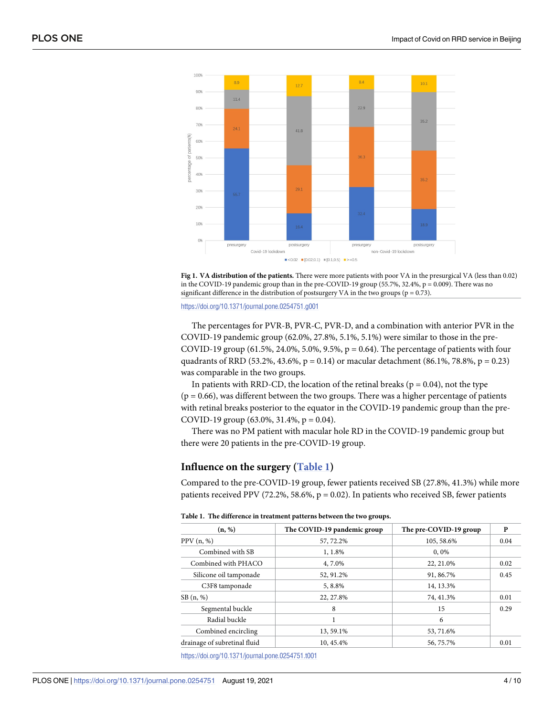<span id="page-3-0"></span>



<https://doi.org/10.1371/journal.pone.0254751.g001>

The percentages for PVR-B, PVR-C, PVR-D, and a combination with anterior PVR in the COVID-19 pandemic group (62.0%, 27.8%, 5.1%, 5.1%) were similar to those in the pre-COVID-19 group (61.5%, 24.0%, 5.0%, 9.5%, p = 0.64). The percentage of patients with four quadrants of RRD (53.2%, 43.6%,  $p = 0.14$ ) or macular detachment (86.1%, 78.8%,  $p = 0.23$ ) was comparable in the two groups.

In patients with RRD-CD, the location of the retinal breaks ( $p = 0.04$ ), not the type  $(p = 0.66)$ , was different between the two groups. There was a higher percentage of patients with retinal breaks posterior to the equator in the COVID-19 pandemic group than the pre-COVID-19 group  $(63.0\%, 31.4\%, p = 0.04)$ .

There was no PM patient with macular hole RD in the COVID-19 pandemic group but there were 20 patients in the pre-COVID-19 group.

# **Influence on the surgery (Table 1)**

Compared to the pre-COVID-19 group, fewer patients received SB (27.8%, 41.3%) while more patients received PPV (72.2%, 58.6%,  $p = 0.02$ ). In patients who received SB, fewer patients

|  | Table 1. The difference in treatment patterns between the two groups. |  |  |  |
|--|-----------------------------------------------------------------------|--|--|--|
|--|-----------------------------------------------------------------------|--|--|--|

| (n, %)                                  | The COVID-19 pandemic group | The pre-COVID-19 group | P    |
|-----------------------------------------|-----------------------------|------------------------|------|
| PPV(n, %)                               | 57, 72.2%                   | 105, 58.6%             | 0.04 |
| Combined with SB                        | 1, 1.8%                     | 0,0%                   |      |
| Combined with PHACO                     | 4, 7.0%                     | 22, 21.0%              | 0.02 |
| Silicone oil tamponade                  | 52, 91.2%                   | 91, 86.7%              | 0.45 |
| C <sub>3</sub> F <sub>8</sub> tamponade | 5, 8.8%                     | 14, 13.3%              |      |
| SB(n, %)                                | 22, 27.8%                   | 74, 41.3%              | 0.01 |
| Segmental buckle                        | 8                           | 15                     | 0.29 |
| Radial buckle                           |                             | 6                      |      |
| Combined encircling                     | 13, 59.1%                   | 53, 71.6%              |      |
| drainage of subretinal fluid            | 10, 45.4%                   | 56, 75.7%              | 0.01 |

<https://doi.org/10.1371/journal.pone.0254751.t001>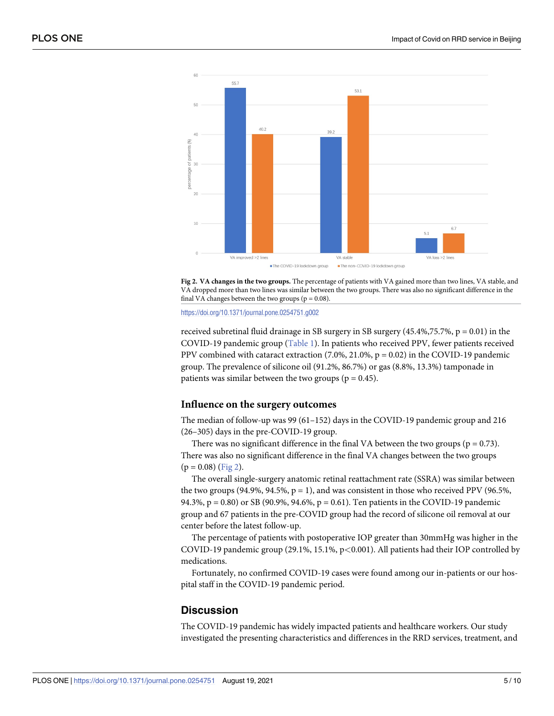



<https://doi.org/10.1371/journal.pone.0254751.g002>

received subretinal fluid drainage in SB surgery in SB surgery  $(45.4\%, 75.7\%, p = 0.01)$  in the COVID-19 pandemic group [\(Table](#page-3-0) 1). In patients who received PPV, fewer patients received PPV combined with cataract extraction  $(7.0\%, 21.0\%, p = 0.02)$  in the COVID-19 pandemic group. The prevalence of silicone oil (91.2%, 86.7%) or gas (8.8%, 13.3%) tamponade in patients was similar between the two groups ( $p = 0.45$ ).

#### **Influence on the surgery outcomes**

The median of follow-up was 99 (61–152) days in the COVID-19 pandemic group and 216 (26–305) days in the pre-COVID-19 group.

There was no significant difference in the final VA between the two groups ( $p = 0.73$ ). There was also no significant difference in the final VA changes between the two groups  $(p = 0.08)$  (Fig 2).

The overall single-surgery anatomic retinal reattachment rate (SSRA) was similar between the two groups (94.9%, 94.5%,  $p = 1$ ), and was consistent in those who received PPV (96.5%, 94.3%, p = 0.80) or SB (90.9%, 94.6%, p = 0.61). Ten patients in the COVID-19 pandemic group and 67 patients in the pre-COVID group had the record of silicone oil removal at our center before the latest follow-up.

The percentage of patients with postoperative IOP greater than 30mmHg was higher in the COVID-19 pandemic group (29.1%, 15.1%, p*<*0.001). All patients had their IOP controlled by medications.

Fortunately, no confirmed COVID-19 cases were found among our in-patients or our hospital staff in the COVID-19 pandemic period.

# **Discussion**

The COVID-19 pandemic has widely impacted patients and healthcare workers. Our study investigated the presenting characteristics and differences in the RRD services, treatment, and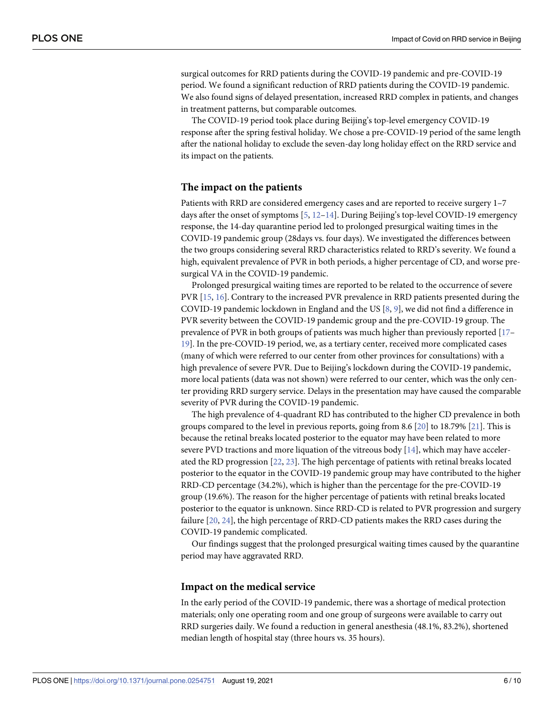<span id="page-5-0"></span>surgical outcomes for RRD patients during the COVID-19 pandemic and pre-COVID-19 period. We found a significant reduction of RRD patients during the COVID-19 pandemic. We also found signs of delayed presentation, increased RRD complex in patients, and changes in treatment patterns, but comparable outcomes.

The COVID-19 period took place during Beijing's top-level emergency COVID-19 response after the spring festival holiday. We chose a pre-COVID-19 period of the same length after the national holiday to exclude the seven-day long holiday effect on the RRD service and its impact on the patients.

#### **The impact on the patients**

Patients with RRD are considered emergency cases and are reported to receive surgery 1–7 days after the onset of symptoms [[5](#page-7-0), [12](#page-8-0)–[14](#page-8-0)]. During Beijing's top-level COVID-19 emergency response, the 14-day quarantine period led to prolonged presurgical waiting times in the COVID-19 pandemic group (28days vs. four days). We investigated the differences between the two groups considering several RRD characteristics related to RRD's severity. We found a high, equivalent prevalence of PVR in both periods, a higher percentage of CD, and worse presurgical VA in the COVID-19 pandemic.

Prolonged presurgical waiting times are reported to be related to the occurrence of severe PVR [\[15,](#page-8-0) [16\]](#page-8-0). Contrary to the increased PVR prevalence in RRD patients presented during the COVID-19 pandemic lockdown in England and the US [\[8,](#page-7-0) [9](#page-7-0)], we did not find a difference in PVR severity between the COVID-19 pandemic group and the pre-COVID-19 group. The prevalence of PVR in both groups of patients was much higher than previously reported [\[17–](#page-8-0) [19\]](#page-8-0). In the pre-COVID-19 period, we, as a tertiary center, received more complicated cases (many of which were referred to our center from other provinces for consultations) with a high prevalence of severe PVR. Due to Beijing's lockdown during the COVID-19 pandemic, more local patients (data was not shown) were referred to our center, which was the only center providing RRD surgery service. Delays in the presentation may have caused the comparable severity of PVR during the COVID-19 pandemic.

The high prevalence of 4-quadrant RD has contributed to the higher CD prevalence in both groups compared to the level in previous reports, going from 8.6 [\[20\]](#page-8-0) to 18.79% [\[21\]](#page-8-0). This is because the retinal breaks located posterior to the equator may have been related to more severe PVD tractions and more liquation of the vitreous body [[14](#page-8-0)], which may have accelerated the RD progression [\[22,](#page-8-0) [23\]](#page-8-0). The high percentage of patients with retinal breaks located posterior to the equator in the COVID-19 pandemic group may have contributed to the higher RRD-CD percentage (34.2%), which is higher than the percentage for the pre-COVID-19 group (19.6%). The reason for the higher percentage of patients with retinal breaks located posterior to the equator is unknown. Since RRD-CD is related to PVR progression and surgery failure [\[20,](#page-8-0) [24\]](#page-8-0), the high percentage of RRD-CD patients makes the RRD cases during the COVID-19 pandemic complicated.

Our findings suggest that the prolonged presurgical waiting times caused by the quarantine period may have aggravated RRD.

#### **Impact on the medical service**

In the early period of the COVID-19 pandemic, there was a shortage of medical protection materials; only one operating room and one group of surgeons were available to carry out RRD surgeries daily. We found a reduction in general anesthesia (48.1%, 83.2%), shortened median length of hospital stay (three hours vs. 35 hours).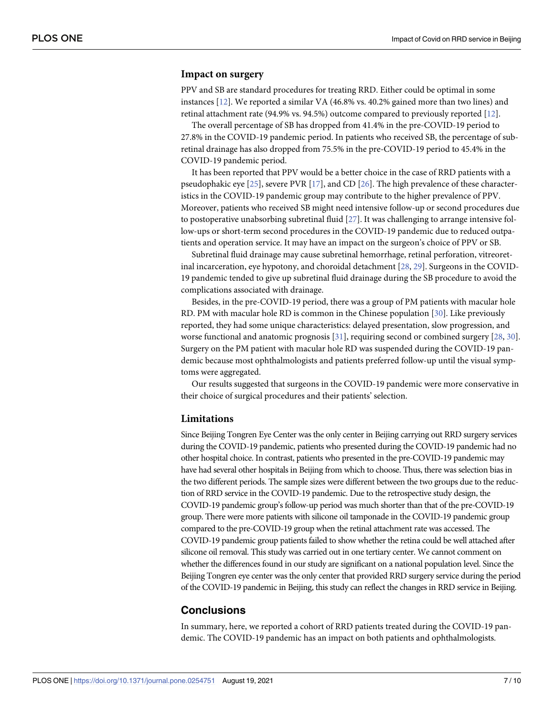#### <span id="page-6-0"></span>**Impact on surgery**

PPV and SB are standard procedures for treating RRD. Either could be optimal in some instances [\[12\]](#page-8-0). We reported a similar VA (46.8% vs. 40.2% gained more than two lines) and retinal attachment rate (94.9% vs. 94.5%) outcome compared to previously reported [\[12\]](#page-8-0).

The overall percentage of SB has dropped from 41.4% in the pre-COVID-19 period to 27.8% in the COVID-19 pandemic period. In patients who received SB, the percentage of subretinal drainage has also dropped from 75.5% in the pre-COVID-19 period to 45.4% in the COVID-19 pandemic period.

It has been reported that PPV would be a better choice in the case of RRD patients with a pseudophakic eye [\[25\]](#page-8-0), severe PVR [[17](#page-8-0)], and CD [[26](#page-8-0)]. The high prevalence of these characteristics in the COVID-19 pandemic group may contribute to the higher prevalence of PPV. Moreover, patients who received SB might need intensive follow-up or second procedures due to postoperative unabsorbing subretinal fluid [\[27\]](#page-8-0). It was challenging to arrange intensive follow-ups or short-term second procedures in the COVID-19 pandemic due to reduced outpatients and operation service. It may have an impact on the surgeon's choice of PPV or SB.

Subretinal fluid drainage may cause subretinal hemorrhage, retinal perforation, vitreoretinal incarceration, eye hypotony, and choroidal detachment [\[28,](#page-8-0) [29\]](#page-8-0). Surgeons in the COVID-19 pandemic tended to give up subretinal fluid drainage during the SB procedure to avoid the complications associated with drainage.

Besides, in the pre-COVID-19 period, there was a group of PM patients with macular hole RD. PM with macular hole RD is common in the Chinese population [\[30\]](#page-9-0). Like previously reported, they had some unique characteristics: delayed presentation, slow progression, and worse functional and anatomic prognosis [\[31\]](#page-9-0), requiring second or combined surgery [\[28,](#page-8-0) [30\]](#page-9-0). Surgery on the PM patient with macular hole RD was suspended during the COVID-19 pandemic because most ophthalmologists and patients preferred follow-up until the visual symptoms were aggregated.

Our results suggested that surgeons in the COVID-19 pandemic were more conservative in their choice of surgical procedures and their patients' selection.

#### **Limitations**

Since Beijing Tongren Eye Center was the only center in Beijing carrying out RRD surgery services during the COVID-19 pandemic, patients who presented during the COVID-19 pandemic had no other hospital choice. In contrast, patients who presented in the pre-COVID-19 pandemic may have had several other hospitals in Beijing from which to choose. Thus, there was selection bias in the two different periods. The sample sizes were different between the two groups due to the reduction of RRD service in the COVID-19 pandemic. Due to the retrospective study design, the COVID-19 pandemic group's follow-up period was much shorter than that of the pre-COVID-19 group. There were more patients with silicone oil tamponade in the COVID-19 pandemic group compared to the pre-COVID-19 group when the retinal attachment rate was accessed. The COVID-19 pandemic group patients failed to show whether the retina could be well attached after silicone oil removal. This study was carried out in one tertiary center. We cannot comment on whether the differences found in our study are significant on a national population level. Since the Beijing Tongren eye center was the only center that provided RRD surgery service during the period of the COVID-19 pandemic in Beijing, this study can reflect the changes in RRD service in Beijing.

## **Conclusions**

In summary, here, we reported a cohort of RRD patients treated during the COVID-19 pandemic. The COVID-19 pandemic has an impact on both patients and ophthalmologists.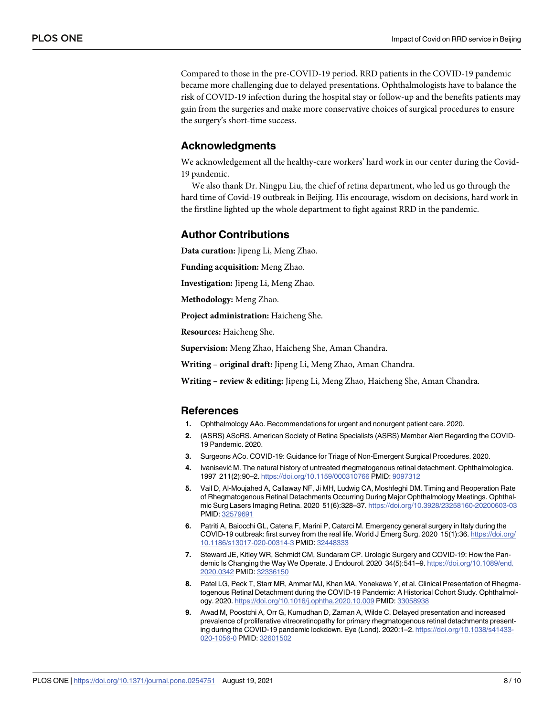<span id="page-7-0"></span>Compared to those in the pre-COVID-19 period, RRD patients in the COVID-19 pandemic became more challenging due to delayed presentations. Ophthalmologists have to balance the risk of COVID-19 infection during the hospital stay or follow-up and the benefits patients may gain from the surgeries and make more conservative choices of surgical procedures to ensure the surgery's short-time success.

#### **Acknowledgments**

We acknowledgement all the healthy-care workers' hard work in our center during the Covid-19 pandemic.

We also thank Dr. Ningpu Liu, the chief of retina department, who led us go through the hard time of Covid-19 outbreak in Beijing. His encourage, wisdom on decisions, hard work in the firstline lighted up the whole department to fight against RRD in the pandemic.

## **Author Contributions**

**Data curation:** Jipeng Li, Meng Zhao.

**Funding acquisition:** Meng Zhao.

**Investigation:** Jipeng Li, Meng Zhao.

**Methodology:** Meng Zhao.

**Project administration:** Haicheng She.

**Resources:** Haicheng She.

**Supervision:** Meng Zhao, Haicheng She, Aman Chandra.

**Writing – original draft:** Jipeng Li, Meng Zhao, Aman Chandra.

**Writing – review & editing:** Jipeng Li, Meng Zhao, Haicheng She, Aman Chandra.

#### **References**

- **[1](#page-1-0).** Ophthalmology AAo. Recommendations for urgent and nonurgent patient care. 2020.
- **[2](#page-1-0).** (ASRS) ASoRS. American Society of Retina Specialists (ASRS) Member Alert Regarding the COVID-19 Pandemic. 2020.
- **[3](#page-1-0).** Surgeons ACo. COVID-19: Guidance for Triage of Non-Emergent Surgical Procedures. 2020.
- **[4](#page-1-0).** Ivanisević M. The natural history of untreated rhegmatogenous retinal detachment. Ophthalmologica. 1997 211(2):90–2. <https://doi.org/10.1159/000310766> PMID: [9097312](http://www.ncbi.nlm.nih.gov/pubmed/9097312)
- **[5](#page-1-0).** Vail D, Al-Moujahed A, Callaway NF, Ji MH, Ludwig CA, Moshfeghi DM. Timing and Reoperation Rate of Rhegmatogenous Retinal Detachments Occurring During Major Ophthalmology Meetings. Ophthalmic Surg Lasers Imaging Retina. 2020 51(6):328–37. <https://doi.org/10.3928/23258160-20200603-03> PMID: [32579691](http://www.ncbi.nlm.nih.gov/pubmed/32579691)
- **[6](#page-1-0).** Patriti A, Baiocchi GL, Catena F, Marini P, Catarci M. Emergency general surgery in Italy during the COVID-19 outbreak: first survey from the real life. World J Emerg Surg. 2020 15(1):36. [https://doi.org/](https://doi.org/10.1186/s13017-020-00314-3) [10.1186/s13017-020-00314-3](https://doi.org/10.1186/s13017-020-00314-3) PMID: [32448333](http://www.ncbi.nlm.nih.gov/pubmed/32448333)
- **[7](#page-1-0).** Steward JE, Kitley WR, Schmidt CM, Sundaram CP. Urologic Surgery and COVID-19: How the Pandemic Is Changing the Way We Operate. J Endourol. 2020 34(5):541–9. [https://doi.org/10.1089/end.](https://doi.org/10.1089/end.2020.0342) [2020.0342](https://doi.org/10.1089/end.2020.0342) PMID: [32336150](http://www.ncbi.nlm.nih.gov/pubmed/32336150)
- **[8](#page-1-0).** Patel LG, Peck T, Starr MR, Ammar MJ, Khan MA, Yonekawa Y, et al. Clinical Presentation of Rhegmatogenous Retinal Detachment during the COVID-19 Pandemic: A Historical Cohort Study. Ophthalmology. 2020. <https://doi.org/10.1016/j.ophtha.2020.10.009> PMID: [33058938](http://www.ncbi.nlm.nih.gov/pubmed/33058938)
- **[9](#page-1-0).** Awad M, Poostchi A, Orr G, Kumudhan D, Zaman A, Wilde C. Delayed presentation and increased prevalence of proliferative vitreoretinopathy for primary rhegmatogenous retinal detachments presenting during the COVID-19 pandemic lockdown. Eye (Lond). 2020:1–2. [https://doi.org/10.1038/s41433-](https://doi.org/10.1038/s41433-020-1056-0) [020-1056-0](https://doi.org/10.1038/s41433-020-1056-0) PMID: [32601502](http://www.ncbi.nlm.nih.gov/pubmed/32601502)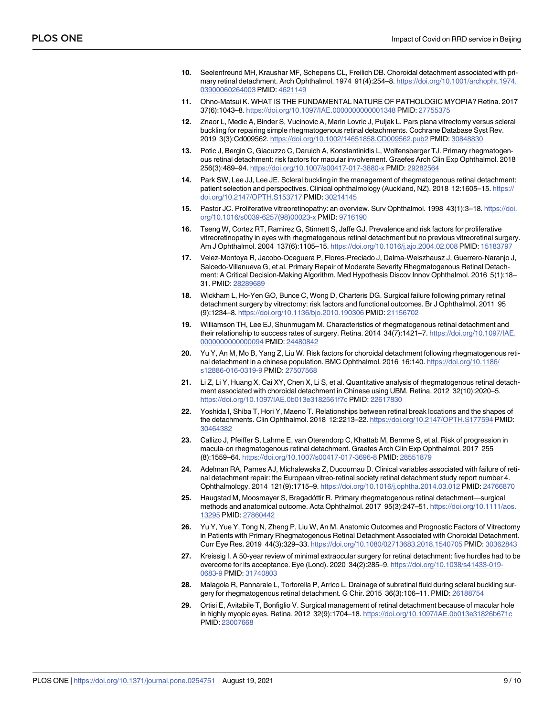- <span id="page-8-0"></span>**[10](#page-2-0).** Seelenfreund MH, Kraushar MF, Schepens CL, Freilich DB. Choroidal detachment associated with primary retinal detachment. Arch Ophthalmol. 1974 91(4):254–8. [https://doi.org/10.1001/archopht.1974.](https://doi.org/10.1001/archopht.1974.03900060264003) [03900060264003](https://doi.org/10.1001/archopht.1974.03900060264003) PMID: [4621149](http://www.ncbi.nlm.nih.gov/pubmed/4621149)
- **[11](#page-2-0).** Ohno-Matsui K. WHAT IS THE FUNDAMENTAL NATURE OF PATHOLOGIC MYOPIA? Retina. 2017 37(6):1043–8. <https://doi.org/10.1097/IAE.0000000000001348> PMID: [27755375](http://www.ncbi.nlm.nih.gov/pubmed/27755375)
- **[12](#page-5-0).** Znaor L, Medic A, Binder S, Vucinovic A, Marin Lovric J, Puljak L. Pars plana vitrectomy versus scleral buckling for repairing simple rhegmatogenous retinal detachments. Cochrane Database Syst Rev. 2019 3(3):Cd009562. <https://doi.org/10.1002/14651858.CD009562.pub2> PMID: [30848830](http://www.ncbi.nlm.nih.gov/pubmed/30848830)
- **13.** Potic J, Bergin C, Giacuzzo C, Daruich A, Konstantinidis L, Wolfensberger TJ. Primary rhegmatogenous retinal detachment: risk factors for macular involvement. Graefes Arch Clin Exp Ophthalmol. 2018 256(3):489–94. <https://doi.org/10.1007/s00417-017-3880-x> PMID: [29282564](http://www.ncbi.nlm.nih.gov/pubmed/29282564)
- **[14](#page-5-0).** Park SW, Lee JJ, Lee JE. Scleral buckling in the management of rhegmatogenous retinal detachment: patient selection and perspectives. Clinical ophthalmology (Auckland, NZ). 2018 12:1605–15. [https://](https://doi.org/10.2147/OPTH.S153717) [doi.org/10.2147/OPTH.S153717](https://doi.org/10.2147/OPTH.S153717) PMID: [30214145](http://www.ncbi.nlm.nih.gov/pubmed/30214145)
- **[15](#page-5-0).** Pastor JC. Proliferative vitreoretinopathy: an overview. Surv Ophthalmol. 1998 43(1):3–18. [https://doi.](https://doi.org/10.1016/s0039-6257%2898%2900023-x) [org/10.1016/s0039-6257\(98\)00023-x](https://doi.org/10.1016/s0039-6257%2898%2900023-x) PMID: [9716190](http://www.ncbi.nlm.nih.gov/pubmed/9716190)
- **[16](#page-5-0).** Tseng W, Cortez RT, Ramirez G, Stinnett S, Jaffe GJ. Prevalence and risk factors for proliferative vitreoretinopathy in eyes with rhegmatogenous retinal detachment but no previous vitreoretinal surgery. Am J Ophthalmol. 2004 137(6):1105–15. <https://doi.org/10.1016/j.ajo.2004.02.008> PMID: [15183797](http://www.ncbi.nlm.nih.gov/pubmed/15183797)
- **[17](#page-5-0).** Velez-Montoya R, Jacobo-Oceguera P, Flores-Preciado J, Dalma-Weiszhausz J, Guerrero-Naranjo J, Salcedo-Villanueva G, et al. Primary Repair of Moderate Severity Rhegmatogenous Retinal Detachment: A Critical Decision-Making Algorithm. Med Hypothesis Discov Innov Ophthalmol. 2016 5(1):18– 31. PMID: [28289689](http://www.ncbi.nlm.nih.gov/pubmed/28289689)
- **18.** Wickham L, Ho-Yen GO, Bunce C, Wong D, Charteris DG. Surgical failure following primary retinal detachment surgery by vitrectomy: risk factors and functional outcomes. Br J Ophthalmol. 2011 95 (9):1234–8. <https://doi.org/10.1136/bjo.2010.190306> PMID: [21156702](http://www.ncbi.nlm.nih.gov/pubmed/21156702)
- **[19](#page-5-0).** Williamson TH, Lee EJ, Shunmugam M. Characteristics of rhegmatogenous retinal detachment and their relationship to success rates of surgery. Retina. 2014 34(7):1421-7. [https://doi.org/10.1097/IAE.](https://doi.org/10.1097/IAE.0000000000000094) [0000000000000094](https://doi.org/10.1097/IAE.0000000000000094) PMID: [24480842](http://www.ncbi.nlm.nih.gov/pubmed/24480842)
- **[20](#page-5-0).** Yu Y, An M, Mo B, Yang Z, Liu W. Risk factors for choroidal detachment following rhegmatogenous retinal detachment in a chinese population. BMC Ophthalmol. 2016 16:140. [https://doi.org/10.1186/](https://doi.org/10.1186/s12886-016-0319-9) [s12886-016-0319-9](https://doi.org/10.1186/s12886-016-0319-9) PMID: [27507568](http://www.ncbi.nlm.nih.gov/pubmed/27507568)
- **[21](#page-5-0).** Li Z, Li Y, Huang X, Cai XY, Chen X, Li S, et al. Quantitative analysis of rhegmatogenous retinal detachment associated with choroidal detachment in Chinese using UBM. Retina. 2012 32(10):2020–5. <https://doi.org/10.1097/IAE.0b013e3182561f7c> PMID: [22617830](http://www.ncbi.nlm.nih.gov/pubmed/22617830)
- **[22](#page-5-0).** Yoshida I, Shiba T, Hori Y, Maeno T. Relationships between retinal break locations and the shapes of the detachments. Clin Ophthalmol. 2018 12:2213–22. <https://doi.org/10.2147/OPTH.S177594> PMID: [30464382](http://www.ncbi.nlm.nih.gov/pubmed/30464382)
- **[23](#page-5-0).** Callizo J, Pfeiffer S, Lahme E, van Oterendorp C, Khattab M, Bemme S, et al. Risk of progression in macula-on rhegmatogenous retinal detachment. Graefes Arch Clin Exp Ophthalmol. 2017 255 (8):1559–64. <https://doi.org/10.1007/s00417-017-3696-8> PMID: [28551879](http://www.ncbi.nlm.nih.gov/pubmed/28551879)
- **[24](#page-5-0).** Adelman RA, Parnes AJ, Michalewska Z, Ducournau D. Clinical variables associated with failure of retinal detachment repair: the European vitreo-retinal society retinal detachment study report number 4. Ophthalmology. 2014 121(9):1715–9. <https://doi.org/10.1016/j.ophtha.2014.03.012> PMID: [24766870](http://www.ncbi.nlm.nih.gov/pubmed/24766870)
- **[25](#page-6-0).** Haugstad M, Moosmayer S, Bragadόttir R. Primary rhegmatogenous retinal detachment—surgical methods and anatomical outcome. Acta Ophthalmol. 2017 95(3):247–51. [https://doi.org/10.1111/aos.](https://doi.org/10.1111/aos.13295) [13295](https://doi.org/10.1111/aos.13295) PMID: [27860442](http://www.ncbi.nlm.nih.gov/pubmed/27860442)
- **[26](#page-6-0).** Yu Y, Yue Y, Tong N, Zheng P, Liu W, An M. Anatomic Outcomes and Prognostic Factors of Vitrectomy in Patients with Primary Rhegmatogenous Retinal Detachment Associated with Choroidal Detachment. Curr Eye Res. 2019 44(3):329–33. <https://doi.org/10.1080/02713683.2018.1540705> PMID: [30362843](http://www.ncbi.nlm.nih.gov/pubmed/30362843)
- **[27](#page-6-0).** Kreissig I. A 50-year review of minimal extraocular surgery for retinal detachment: five hurdles had to be overcome for its acceptance. Eye (Lond). 2020 34(2):285–9. [https://doi.org/10.1038/s41433-019-](https://doi.org/10.1038/s41433-019-0683-9) [0683-9](https://doi.org/10.1038/s41433-019-0683-9) PMID: [31740803](http://www.ncbi.nlm.nih.gov/pubmed/31740803)
- **[28](#page-6-0).** Malagola R, Pannarale L, Tortorella P, Arrico L. Drainage of subretinal fluid during scleral buckling surgery for rhegmatogenous retinal detachment. G Chir. 2015 36(3):106–11. PMID: [26188754](http://www.ncbi.nlm.nih.gov/pubmed/26188754)
- **[29](#page-6-0).** Ortisi E, Avitabile T, Bonfiglio V. Surgical management of retinal detachment because of macular hole in highly myopic eyes. Retina. 2012 32(9):1704–18. <https://doi.org/10.1097/IAE.0b013e31826b671c> PMID: [23007668](http://www.ncbi.nlm.nih.gov/pubmed/23007668)